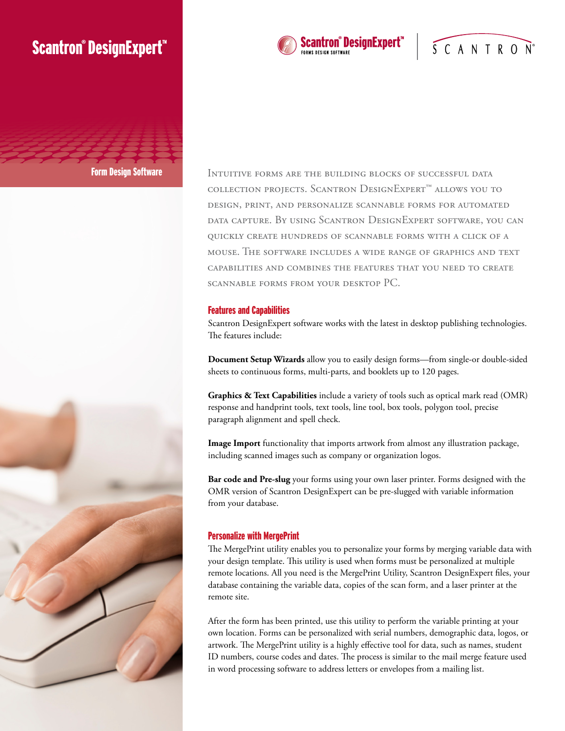# **Scantron® DesignExpert**





Scantron® DesignExpert™

SCANTRON®

### Features and Capabilities

Scantron DesignExpert software works with the latest in desktop publishing technologies. The features include:

**Document Setup Wizards** allow you to easily design forms—from single-or double-sided sheets to continuous forms, multi-parts, and booklets up to 120 pages.

**Graphics & Text Capabilities** include a variety of tools such as optical mark read (OMR) response and handprint tools, text tools, line tool, box tools, polygon tool, precise paragraph alignment and spell check.

**Image Import** functionality that imports artwork from almost any illustration package, including scanned images such as company or organization logos.

**Bar code and Pre-slug** your forms using your own laser printer. Forms designed with the OMR version of Scantron DesignExpert can be pre-slugged with variable information from your database.

## Personalize with MergePrint

The MergePrint utility enables you to personalize your forms by merging variable data with your design template. This utility is used when forms must be personalized at multiple remote locations. All you need is the MergePrint Utility, Scantron DesignExpert files, your database containing the variable data, copies of the scan form, and a laser printer at the remote site.

After the form has been printed, use this utility to perform the variable printing at your own location. Forms can be personalized with serial numbers, demographic data, logos, or artwork. The MergePrint utility is a highly effective tool for data, such as names, student ID numbers, course codes and dates. The process is similar to the mail merge feature used in word processing software to address letters or envelopes from a mailing list.